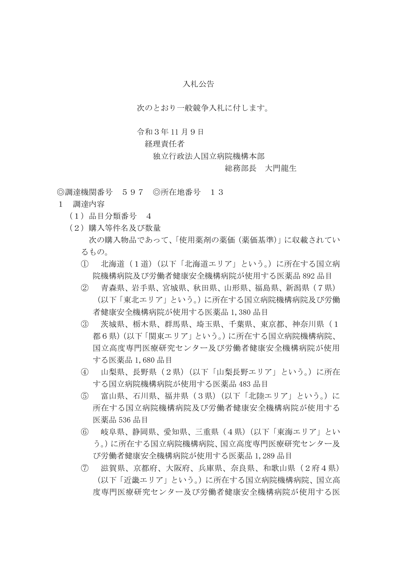## 入札公告

次のとおり一般競争入札に付します。

## 令和3年 11 月9日

## 経理責任者

独立行政法人国立病院機構本部

## 総務部長 大門龍生

◎調達機関番号 597 ◎所在地番号 13

- 1 調達内容
	- (1)品目分類番号 4
	- (2)購入等件名及び数量 次の購入物品であって、「使用薬剤の薬価(薬価基準)」に収載されてい るもの。
		- ① 北海道(1道)(以下「北海道エリア」という。)に所在する国立病 院機構病院及び労働者健康安全機構病院が使用する医薬品 892 品目
		- ② 青森県、岩手県、宮城県、秋田県、山形県、福島県、新潟県(7県) (以下「東北エリア」という。)に所在する国立病院機構病院及び労働 者健康安全機構病院が使用する医薬品 1,380 品目
		- ③ 茨城県、栃木県、群馬県、埼玉県、千葉県、東京都、神奈川県(1 都6県)(以下「関東エリア」という。)に所在する国立病院機構病院、 国立高度専門医療研究センター及び労働者健康安全機構病院が使用 する医薬品 1,680 品目
		- ④ 山梨県、長野県(2県)(以下「山梨長野エリア」という。)に所在 する国立病院機構病院が使用する医薬品 483 品目
		- ⑤ 富山県、石川県、福井県(3県)(以下「北陸エリア」という。)に 所在する国立病院機構病院及び労働者健康安全機構病院が使用する 医薬品 536 品目
		- ⑥ 岐阜県、静岡県、愛知県、三重県(4県)(以下「東海エリア」とい う。)に所在する国立病院機構病院、国立高度専門医療研究センター及 び労働者健康安全機構病院が使用する医薬品 1,289 品目
		- ⑦ 滋賀県、京都府、大阪府、兵庫県、奈良県、和歌山県(2府4県) (以下「近畿エリア」という。)に所在する国立病院機構病院、国立高 度専門医療研究センター及び労働者健康安全機構病院が使用する医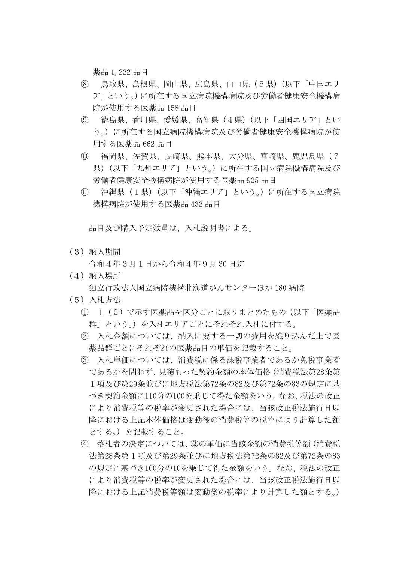薬品 1,222 品目

- ⑧ 鳥取県、島根県、岡山県、広島県、山口県(5県)(以下「中国エリ ア」という。)に所在する国立病院機構病院及び労働者健康安全機構病 院が使用する医薬品 158 品目
- ⑨ 徳島県、香川県、愛媛県、高知県(4県)(以下「四国エリア」とい う。)に所在する国立病院機構病院及び労働者健康安全機構病院が使 用する医薬品 662 品目
- ⑩ 福岡県、佐賀県、長崎県、熊本県、大分県、宮崎県、鹿児島県(7 県)(以下「九州エリア」という。)に所在する国立病院機構病院及び 労働者健康安全機構病院が使用する医薬品 925 品目
- ⑪ 沖縄県(1県)(以下「沖縄エリア」という。)に所在する国立病院 機構病院が使用する医薬品 432 品目

品目及び購入予定数量は、入札説明書による。

(3)納入期間

令和4年3月1日から令和4年9月 30 日迄

(4)納入場所

独立行政法人国立病院機構北海道がんセンターほか 180 病院

- (5)入札方法
	- ① 1(2)で示す医薬品を区分ごとに取りまとめたもの(以下「医薬品 群」という。)を入札エリアごとにそれぞれ入札に付する。
	- ② 入札金額については、納入に要する一切の費用を織り込んだ上で医 薬品群ごとにそれぞれの医薬品目の単価を記載すること。
	- ③ 入札単価については、消費税に係る課税事業者であるか免税事業者 であるかを問わず、見積もった契約金額の本体価格(消費税法第28条第 1項及び第29条並びに地方税法第72条の82及び第72条の83の規定に基 づき契約金額に110分の100を乗じて得た金額をいう。なお、税法の改正 により消費税等の税率が変更された場合には、当該改正税法施行日以 降における上記本体価格は変動後の消費税等の税率により計算した額 とする。)を記載すること。
	- ④ 落札者の決定については、②の単価に当該金額の消費税等額(消費税 法第28条第1項及び第29条並びに地方税法第72条の82及び第72条の83 の規定に基づき100分の10を乗じて得た金額をいう。なお、税法の改正 により消費税等の税率が変更された場合には、当該改正税法施行日以 降における上記消費税等額は変動後の税率により計算した額とする。)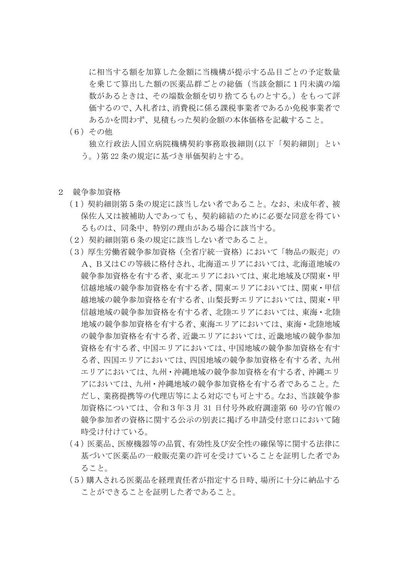に相当する額を加算した金額に当機構が提示する品目ごとの予定数量 を乗じて算出した額の医薬品群ごとの総価(当該金額に1円未満の端 数があるときは、その端数金額を切り捨てるものとする。)をもって評 価するので、入札者は、消費税に係る課税事業者であるか免税事業者で あるかを問わず、見積もった契約金額の本体価格を記載すること。

(6)その他

独立行政法人国立病院機構契約事務取扱細則(以下「契約細則」とい う。)第 22 条の規定に基づき単価契約とする。

- 2 競争参加資格
	- (1)契約細則第5条の規定に該当しない者であること。なお、未成年者、被 保佐人又は被補助人であっても、契約締結のために必要な同意を得てい るものは、同条中、特別の理由がある場合に該当する。
	- (2)契約細則第6条の規定に該当しない者であること。
	- (3)厚生労働省競争参加資格(全省庁統一資格)において「物品の販売」の A、B又はCの等級に格付され、北海道エリアにおいては、北海道地域の 競争参加資格を有する者、東北エリアにおいては、東北地域及び関東・甲 信越地域の競争参加資格を有する者、関東エリアにおいては、関東・甲信 越地域の競争参加資格を有する者、山梨長野エリアにおいては、関東・甲 信越地域の競争参加資格を有する者、北陸エリアにおいては、東海・北陸 地域の競争参加資格を有する者、東海エリアにおいては、東海・北陸地域 の競争参加資格を有する者、近畿エリアにおいては、近畿地域の競争参加 資格を有する者、中国エリアにおいては、中国地域の競争参加資格を有す る者、四国エリアにおいては、四国地域の競争参加資格を有する者、九州 エリアにおいては、九州・沖縄地域の競争参加資格を有する者、沖縄エリ アにおいては、九州・沖縄地域の競争参加資格を有する者であること。た だし、業務提携等の代理店等による対応でも可とする。なお、当該競争参 加資格については、令和3年3月 31 日付号外政府調達第 60 号の官報の 競争参加者の資格に関する公示の別表に掲げる申請受付窓口において随 時受け付けている。
	- (4)医薬品、医療機器等の品質、有効性及び安全性の確保等に関する法律に 基づいて医薬品の一般販売業の許可を受けていることを証明した者であ ること。
	- (5)購入される医薬品を経理責任者が指定する日時、場所に十分に納品する ことができることを証明した者であること。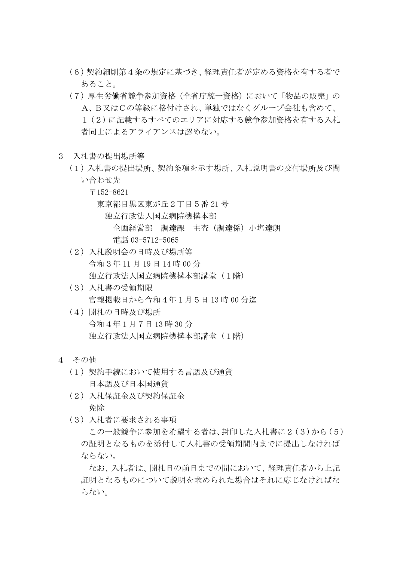- (6)契約細則第4条の規定に基づき、経理責任者が定める資格を有する者で あること。
- (7)厚生労働省競争参加資格(全省庁統一資格)において「物品の販売」の A、B又はCの等級に格付けされ、単独ではなくグループ会社も含めて、 1(2)に記載するすべてのエリアに対応する競争参加資格を有する入札 者同士によるアライアンスは認めない。
- 3 入札書の提出場所等
	- (1)入札書の提出場所、契約条項を示す場所、入札説明書の交付場所及び問 い合わせ先
		- 〒152-8621

東京都目黒区東が丘2丁目5番 21 号

- 独立行政法人国立病院機構本部
	- 企画経営部 調達課 主査(調達係)小塩達朗 電話 03-5712-5065
- (2)入札説明会の日時及び場所等 令和3年 11 月 19 日 14 時 00 分 独立行政法人国立病院機構本部講堂(1階)
- (3)入札書の受領期限 官報掲載日から令和4年1月5日 13 時 00 分迄
- (4)開札の日時及び場所 令和4年1月7日 13 時 30 分 独立行政法人国立病院機構本部講堂(1階)
- 4 その他
	- (1)契約手続において使用する言語及び通貨 日本語及び日本国通貨
	- (2)入札保証金及び契約保証金 免除
	- (3)入札者に要求される事項

この一般競争に参加を希望する者は、封印した入札書に2(3)から(5) の証明となるものを添付して入札書の受領期間内までに提出しなければ ならない。

なお、入札者は、開札日の前日までの間において、経理責任者から上記 証明となるものについて説明を求められた場合はそれに応じなければな らない。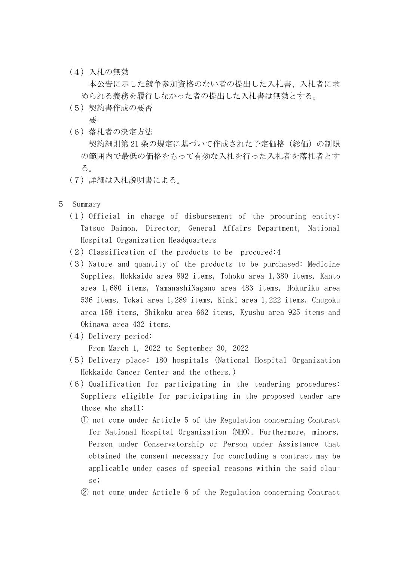(4)入札の無効

本公告に示した競争参加資格のない者の提出した入札書、入札者に求 められる義務を履行しなかった者の提出した入札書は無効とする。

(5)契約書作成の要否

要

- (6)落札者の決定方法 契約細則第21条の規定に基づいて作成された予定価格(総価)の制限 の範囲内で最低の価格をもって有効な入札を行った入札者を落札者とす る。
- (7)詳細は入札説明書による。
- 5 Summary
	- $(1)$  Official in charge of disbursement of the procuring entity: Tatsuo Daimon, Director, General Affairs Department, National Hospital Organization Headquarters
	- $(2)$  Classification of the products to be procured:4
	- $(3)$  Nature and quantity of the products to be purchased: Medicine Supplies, Hokkaido area 892 items, Tohoku area 1,380 items, Kanto area 1,680 items, YamanashiNagano area 483 items, Hokuriku area 536 items, Tokai area 1,289 items, Kinki area 1,222 items, Chugoku area 158 items, Shikoku area 662 items, Kyushu area 925 items and Okinawa area 432 items.
	- (4) Delivery period:

From March 1, 2022 to September 30, 2022

- (5)Delivery place: 180 hospitals (National Hospital Organization Hokkaido Cancer Center and the others.)
- $(6)$  Qualification for participating in the tendering procedures: Suppliers eligible for participating in the proposed tender are those who shall:
	- ① not come under Article 5 of the Regulation concerning Contract for National Hospital Organization (NHO). Furthermore, minors, Person under Conservatorship or Person under Assistance that obtained the consent necessary for concluding a contract may be applicable under cases of special reasons within the said clause;
	- ② not come under Article 6 of the Regulation concerning Contract